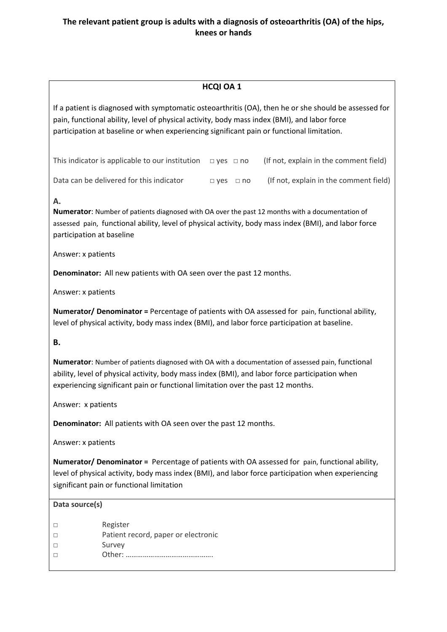### **HCQI OA 1**

If a patient is diagnosed with symptomatic osteoarthritis (OA), then he or she should be assessed for pain, functional ability, level of physical activity, body mass index (BMI), and labor force participation at baseline or when experiencing significant pain or functional limitation.

This indicator is applicable to our institution  $\Box$  yes  $\Box$  no (If not, explain in the comment field)

Data can be delivered for this indicator  $\Box$  yes  $\Box$  no (If not, explain in the comment field)

### **A.**

**Numerator**: Number of patients diagnosed with OA over the past 12 months with a documentation of assessed pain, functional ability, level of physical activity, body mass index (BMI), and labor force participation at baseline

Answer: x patients

**Denominator:** All new patients with OA seen over the past 12 months.

Answer: x patients

**Numerator/ Denominator =** Percentage of patients with OA assessed for pain, functional ability, level of physical activity, body mass index (BMI), and labor force participation at baseline.

### **B.**

**Numerator**: Number of patients diagnosed with OA with a documentation of assessed pain, functional ability, level of physical activity, body mass index (BMI), and labor force participation when experiencing significant pain or functional limitation over the past 12 months.

Answer: x patients

**Denominator:** All patients with OA seen over the past 12 months.

Answer: x patients

**Numerator/ Denominator =** Percentage of patients with OA assessed for pain, functional ability, level of physical activity, body mass index (BMI), and labor force participation when experiencing significant pain or functional limitation

### **Data source(s)**

- □ Register
- □ Patient record, paper or electronic
- □ Survey
- □ Other: ……………………………………….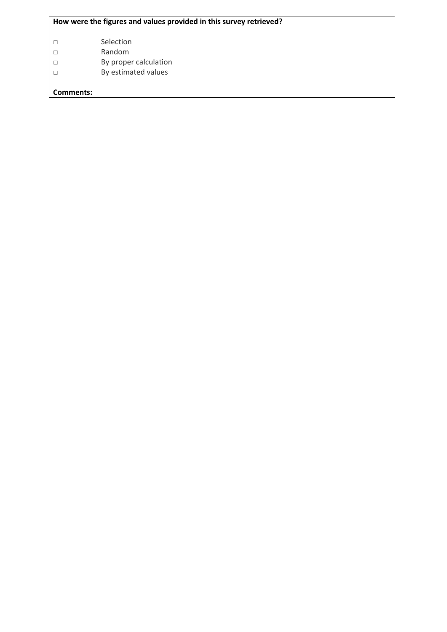### **How were the figures and values provided in this survey retrieved?**

- □ Selection
- □ Random
- □ By proper calculation
- □ By estimated values

**Comments:**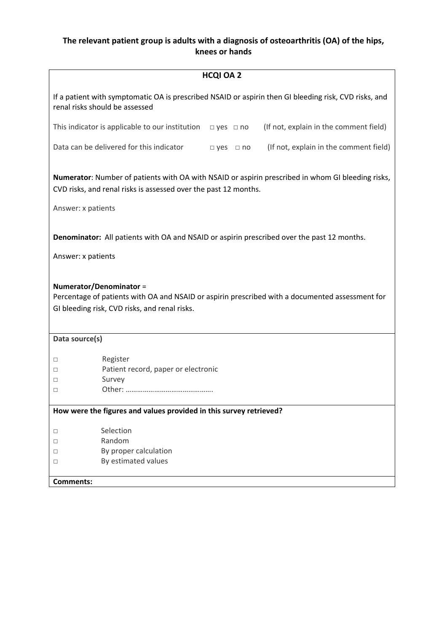| <b>HCQI OA 2</b>                                                                                                                                                            |  |  |  |
|-----------------------------------------------------------------------------------------------------------------------------------------------------------------------------|--|--|--|
| If a patient with symptomatic OA is prescribed NSAID or aspirin then GI bleeding risk, CVD risks, and<br>renal risks should be assessed                                     |  |  |  |
| (If not, explain in the comment field)<br>This indicator is applicable to our institution $\Box$ yes $\Box$ no                                                              |  |  |  |
| Data can be delivered for this indicator<br>(If not, explain in the comment field)<br>$\Box$ yes $\Box$ no                                                                  |  |  |  |
| Numerator: Number of patients with OA with NSAID or aspirin prescribed in whom GI bleeding risks,<br>CVD risks, and renal risks is assessed over the past 12 months.        |  |  |  |
| Answer: x patients                                                                                                                                                          |  |  |  |
| <b>Denominator:</b> All patients with OA and NSAID or aspirin prescribed over the past 12 months.                                                                           |  |  |  |
| Answer: x patients                                                                                                                                                          |  |  |  |
| Numerator/Denominator =<br>Percentage of patients with OA and NSAID or aspirin prescribed with a documented assessment for<br>GI bleeding risk, CVD risks, and renal risks. |  |  |  |
| Data source(s)                                                                                                                                                              |  |  |  |
| Register<br>$\Box$<br>Patient record, paper or electronic<br>□<br>Survey<br>□<br>$\Box$                                                                                     |  |  |  |
| How were the figures and values provided in this survey retrieved?                                                                                                          |  |  |  |
| Selection<br>$\Box$<br>Random<br>□<br>By proper calculation<br>$\Box$<br>By estimated values<br>□<br><b>Comments:</b>                                                       |  |  |  |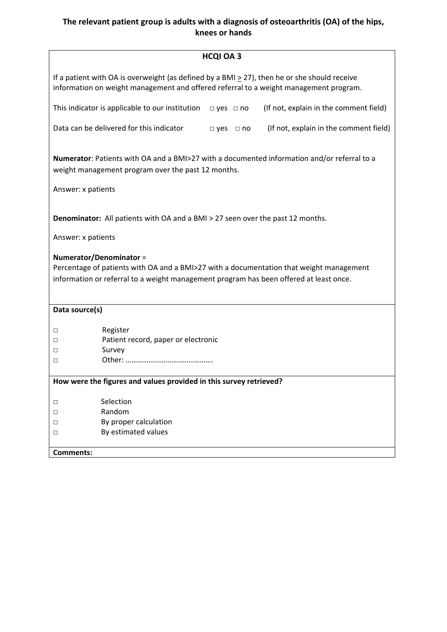|                                                                                                                                                                                                              |                                                                                                                                                                                            | <b>HCQI OA 3</b>     |  |                                        |
|--------------------------------------------------------------------------------------------------------------------------------------------------------------------------------------------------------------|--------------------------------------------------------------------------------------------------------------------------------------------------------------------------------------------|----------------------|--|----------------------------------------|
|                                                                                                                                                                                                              | If a patient with OA is overweight (as defined by a BMI $\geq$ 27), then he or she should receive<br>information on weight management and offered referral to a weight management program. |                      |  |                                        |
|                                                                                                                                                                                                              | This indicator is applicable to our institution                                                                                                                                            | $\Box$ yes $\Box$ no |  | (If not, explain in the comment field) |
|                                                                                                                                                                                                              | Data can be delivered for this indicator                                                                                                                                                   | $\Box$ yes $\Box$ no |  | (If not, explain in the comment field) |
| Numerator: Patients with OA and a BMI>27 with a documented information and/or referral to a<br>weight management program over the past 12 months.<br>Answer: x patients                                      |                                                                                                                                                                                            |                      |  |                                        |
|                                                                                                                                                                                                              | <b>Denominator:</b> All patients with OA and a BMI > 27 seen over the past 12 months.                                                                                                      |                      |  |                                        |
| Answer: x patients                                                                                                                                                                                           |                                                                                                                                                                                            |                      |  |                                        |
| Numerator/Denominator =<br>Percentage of patients with OA and a BMI>27 with a documentation that weight management<br>information or referral to a weight management program has been offered at least once. |                                                                                                                                                                                            |                      |  |                                        |
| Data source(s)                                                                                                                                                                                               |                                                                                                                                                                                            |                      |  |                                        |
| □<br>п<br>□<br>П                                                                                                                                                                                             | Register<br>Patient record, paper or electronic<br>Survey                                                                                                                                  |                      |  |                                        |
|                                                                                                                                                                                                              | How were the figures and values provided in this survey retrieved?                                                                                                                         |                      |  |                                        |
|                                                                                                                                                                                                              |                                                                                                                                                                                            |                      |  |                                        |
| $\Box$                                                                                                                                                                                                       | Selection                                                                                                                                                                                  |                      |  |                                        |
| □                                                                                                                                                                                                            | Random                                                                                                                                                                                     |                      |  |                                        |
| □                                                                                                                                                                                                            | By proper calculation                                                                                                                                                                      |                      |  |                                        |
| $\Box$                                                                                                                                                                                                       | By estimated values                                                                                                                                                                        |                      |  |                                        |
| <b>Comments:</b>                                                                                                                                                                                             |                                                                                                                                                                                            |                      |  |                                        |
|                                                                                                                                                                                                              |                                                                                                                                                                                            |                      |  |                                        |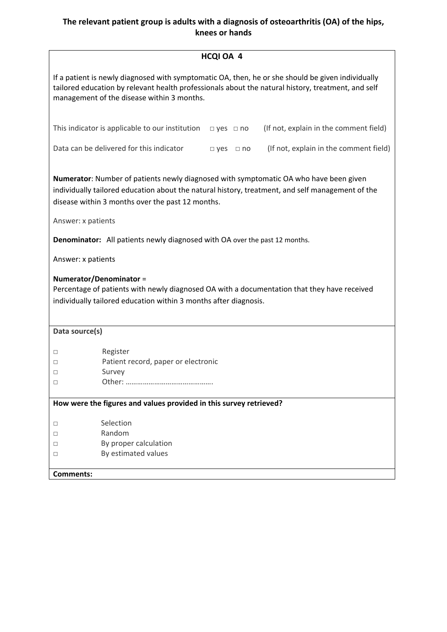# **HCQI OA 4**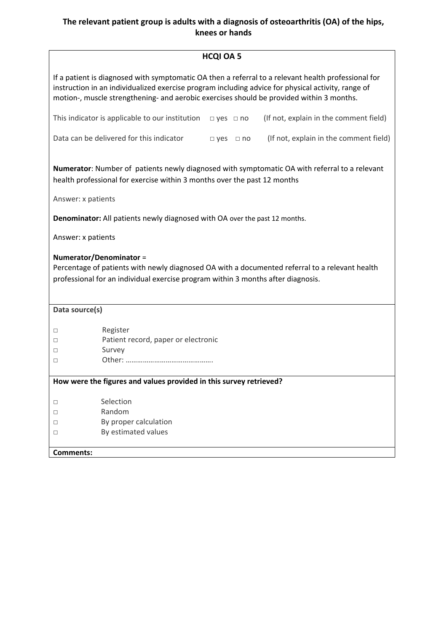|                    | <b>HCQI OA 5</b>                                                                                                                                                                                                                                                                                      |
|--------------------|-------------------------------------------------------------------------------------------------------------------------------------------------------------------------------------------------------------------------------------------------------------------------------------------------------|
|                    | If a patient is diagnosed with symptomatic OA then a referral to a relevant health professional for<br>instruction in an individualized exercise program including advice for physical activity, range of<br>motion-, muscle strengthening- and aerobic exercises should be provided within 3 months. |
|                    | This indicator is applicable to our institution<br>(If not, explain in the comment field)<br>$\Box$ yes $\Box$ no                                                                                                                                                                                     |
|                    | Data can be delivered for this indicator<br>(If not, explain in the comment field)<br>$\Box$ yes $\Box$ no                                                                                                                                                                                            |
|                    | Numerator: Number of patients newly diagnosed with symptomatic OA with referral to a relevant<br>health professional for exercise within 3 months over the past 12 months                                                                                                                             |
| Answer: x patients |                                                                                                                                                                                                                                                                                                       |
|                    | <b>Denominator:</b> All patients newly diagnosed with OA over the past 12 months.                                                                                                                                                                                                                     |
| Answer: x patients |                                                                                                                                                                                                                                                                                                       |
|                    | Numerator/Denominator =<br>Percentage of patients with newly diagnosed OA with a documented referral to a relevant health                                                                                                                                                                             |
|                    | professional for an individual exercise program within 3 months after diagnosis.                                                                                                                                                                                                                      |
| Data source(s)     |                                                                                                                                                                                                                                                                                                       |
|                    |                                                                                                                                                                                                                                                                                                       |
| □                  | Register                                                                                                                                                                                                                                                                                              |
| □                  | Patient record, paper or electronic                                                                                                                                                                                                                                                                   |
| $\Box$             | Survey                                                                                                                                                                                                                                                                                                |
| □                  |                                                                                                                                                                                                                                                                                                       |
|                    | How were the figures and values provided in this survey retrieved?                                                                                                                                                                                                                                    |
|                    |                                                                                                                                                                                                                                                                                                       |
| $\Box$             | Selection                                                                                                                                                                                                                                                                                             |
| □                  | Random                                                                                                                                                                                                                                                                                                |
| $\Box$             | By proper calculation                                                                                                                                                                                                                                                                                 |
| $\Box$             | By estimated values                                                                                                                                                                                                                                                                                   |
| <b>Comments:</b>   |                                                                                                                                                                                                                                                                                                       |
|                    |                                                                                                                                                                                                                                                                                                       |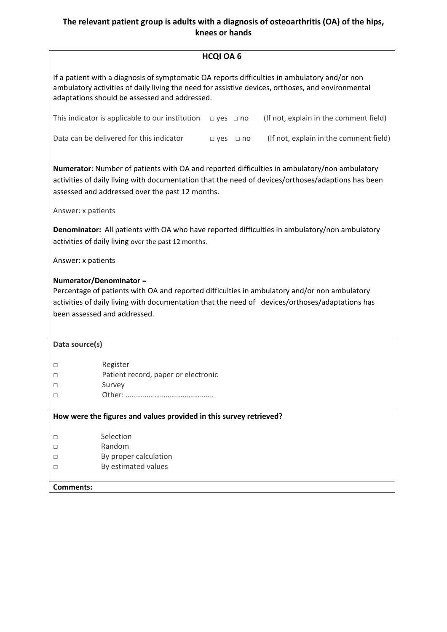| <b>HCQI OA 6</b> |  |
|------------------|--|
|------------------|--|

If a patient with a diagnosis of symptomatic OA reports difficulties in ambulatory and/or non ambulatory activities of daily living the need for assistive devices, orthoses, and environmental adaptations should be assessed and addressed.

| This indicator is applicable to our institution $\Box$ yes $\Box$ no |                      | (If not, explain in the comment field) |
|----------------------------------------------------------------------|----------------------|----------------------------------------|
| Data can be delivered for this indicator                             | $\Box$ ves $\Box$ no | (If not, explain in the comment field) |

**Numerator**: Number of patients with OA and reported difficulties in ambulatory/non ambulatory activities of daily living with documentation that the need of devices/orthoses/adaptions has been assessed and addressed over the past 12 months.

Answer: x patients

**Denominator:** All patients with OA who have reported difficulties in ambulatory/non ambulatory activities of daily living over the past 12 months.

Answer: x patients

#### **Numerator/Denominator** =

Percentage of patients with OA and reported difficulties in ambulatory and/or non ambulatory activities of daily living with documentation that the need of devices/orthoses/adaptations has been assessed and addressed.

#### **Data source(s)**

- □ Register
- □ Patient record, paper or electronic
- □ Survey
- □ **Other: ……………………………………**

#### **How were the figures and values provided in this survey retrieved?**

- □ Selection
- □ Random
- □ By proper calculation
- □ By estimated values

### **Comments:**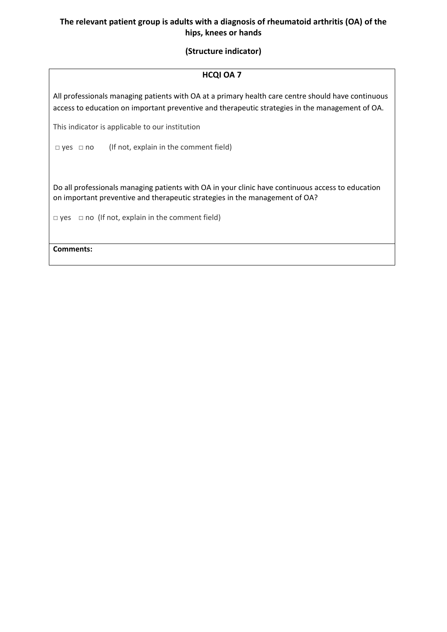### **(Structure indicator)**

#### **HCQI OA 7**

All professionals managing patients with OA at a primary health care centre should have continuous access to education on important preventive and therapeutic strategies in the management of OA.

This indicator is applicable to our institution

 $\Box$  yes  $\Box$  no (If not, explain in the comment field)

Do all professionals managing patients with OA in your clinic have continuous access to education on important preventive and therapeutic strategies in the management of OA?

 $\Box$  yes  $\Box$  no (If not, explain in the comment field)

**Comments:**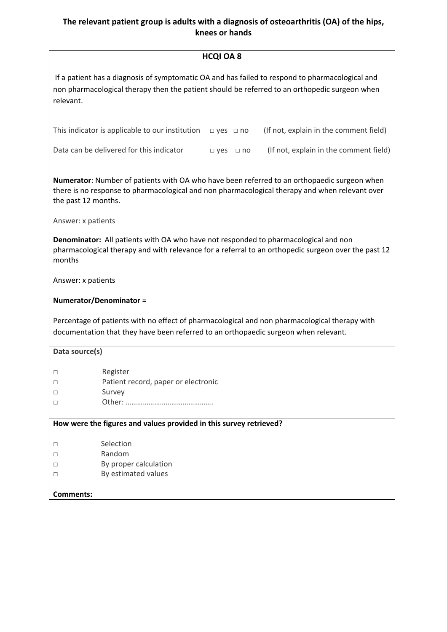| If a patient has a diagnosis of symptomatic OA and has failed to respond to pharmacological and<br>non pharmacological therapy then the patient should be referred to an orthopedic surgeon when                                           |  |  |  |  |
|--------------------------------------------------------------------------------------------------------------------------------------------------------------------------------------------------------------------------------------------|--|--|--|--|
| relevant.                                                                                                                                                                                                                                  |  |  |  |  |
| This indicator is applicable to our institution<br>(If not, explain in the comment field)<br>$\Box$ yes $\Box$ no                                                                                                                          |  |  |  |  |
| Data can be delivered for this indicator<br>(If not, explain in the comment field)<br>$\Box$ yes $\Box$ no                                                                                                                                 |  |  |  |  |
| Numerator: Number of patients with OA who have been referred to an orthopaedic surgeon when<br>there is no response to pharmacological and non pharmacological therapy and when relevant over<br>the past 12 months.<br>Answer: x patients |  |  |  |  |
| Denominator: All patients with OA who have not responded to pharmacological and non<br>pharmacological therapy and with relevance for a referral to an orthopedic surgeon over the past 12<br>months                                       |  |  |  |  |
| Answer: x patients                                                                                                                                                                                                                         |  |  |  |  |
| Numerator/Denominator =                                                                                                                                                                                                                    |  |  |  |  |
| Percentage of patients with no effect of pharmacological and non pharmacological therapy with<br>documentation that they have been referred to an orthopaedic surgeon when relevant.                                                       |  |  |  |  |
| Data source(s)                                                                                                                                                                                                                             |  |  |  |  |
| Register<br>□<br>Patient record, paper or electronic<br>Survey<br>$\Box$<br>□                                                                                                                                                              |  |  |  |  |
| How were the figures and values provided in this survey retrieved?                                                                                                                                                                         |  |  |  |  |
| Selection<br>□<br>Random<br>□<br>By proper calculation<br>□<br>By estimated values<br>□<br><b>Comments:</b>                                                                                                                                |  |  |  |  |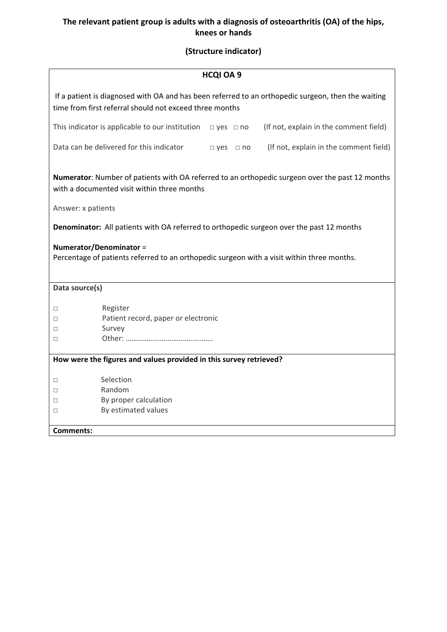# **(Structure indicator)**

|                    |                                                                                                                                                                                                                                                                  | <b>HCQI OA 9</b>     |  |                                                                                                    |
|--------------------|------------------------------------------------------------------------------------------------------------------------------------------------------------------------------------------------------------------------------------------------------------------|----------------------|--|----------------------------------------------------------------------------------------------------|
|                    | time from first referral should not exceed three months                                                                                                                                                                                                          |                      |  | If a patient is diagnosed with OA and has been referred to an orthopedic surgeon, then the waiting |
|                    | This indicator is applicable to our institution                                                                                                                                                                                                                  | $\Box$ yes $\Box$ no |  | (If not, explain in the comment field)                                                             |
|                    | Data can be delivered for this indicator                                                                                                                                                                                                                         | $\Box$ yes $\Box$ no |  | (If not, explain in the comment field)                                                             |
| Answer: x patients | with a documented visit within three months<br>Denominator: All patients with OA referred to orthopedic surgeon over the past 12 months<br>Numerator/Denominator =<br>Percentage of patients referred to an orthopedic surgeon with a visit within three months. |                      |  | Numerator: Number of patients with OA referred to an orthopedic surgeon over the past 12 months    |
|                    |                                                                                                                                                                                                                                                                  |                      |  |                                                                                                    |
| Data source(s)     |                                                                                                                                                                                                                                                                  |                      |  |                                                                                                    |
| □                  | Register                                                                                                                                                                                                                                                         |                      |  |                                                                                                    |
| □                  | Patient record, paper or electronic                                                                                                                                                                                                                              |                      |  |                                                                                                    |
| □                  | Survey                                                                                                                                                                                                                                                           |                      |  |                                                                                                    |
| □                  |                                                                                                                                                                                                                                                                  |                      |  |                                                                                                    |
|                    | How were the figures and values provided in this survey retrieved?                                                                                                                                                                                               |                      |  |                                                                                                    |
|                    |                                                                                                                                                                                                                                                                  |                      |  |                                                                                                    |
| □                  | Selection<br>Random                                                                                                                                                                                                                                              |                      |  |                                                                                                    |
| □<br>□             | By proper calculation                                                                                                                                                                                                                                            |                      |  |                                                                                                    |
| $\Box$             | By estimated values                                                                                                                                                                                                                                              |                      |  |                                                                                                    |
|                    |                                                                                                                                                                                                                                                                  |                      |  |                                                                                                    |
| <b>Comments:</b>   |                                                                                                                                                                                                                                                                  |                      |  |                                                                                                    |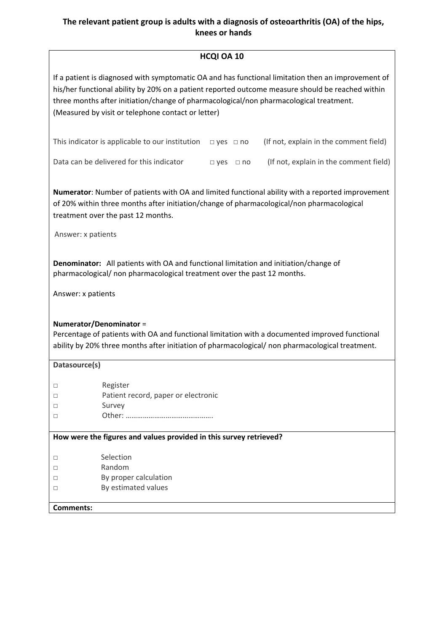#### **HCQI OA 10**

| If a patient is diagnosed with symptomatic OA and has functional limitation then an improvement of |
|----------------------------------------------------------------------------------------------------|
| his/her functional ability by 20% on a patient reported outcome measure should be reached within   |
| three months after initiation/change of pharmacological/non pharmacological treatment.             |
| (Measured by visit or telephone contact or letter)                                                 |

| This indicator is applicable to our institution $\Box$ yes $\Box$ no |                      | (If not, explain in the comment field) |
|----------------------------------------------------------------------|----------------------|----------------------------------------|
| Data can be delivered for this indicator                             | $\Box$ ves $\Box$ no | (If not, explain in the comment field) |

**Numerator**: Number of patients with OA and limited functional ability with a reported improvement of 20% within three months after initiation/change of pharmacological/non pharmacological treatment over the past 12 months.

Answer: x patients

**Denominator:** All patients with OA and functional limitation and initiation/change of pharmacological/ non pharmacological treatment over the past 12 months.

Answer: x patients

#### **Numerator/Denominator** =

Percentage of patients with OA and functional limitation with a documented improved functional ability by 20% three months after initiation of pharmacological/ non pharmacological treatment.

| Datasource(s)    |                                                                    |
|------------------|--------------------------------------------------------------------|
| □                | Register                                                           |
|                  | Patient record, paper or electronic                                |
|                  | Survey                                                             |
|                  |                                                                    |
|                  |                                                                    |
|                  | How were the figures and values provided in this survey retrieved? |
|                  |                                                                    |
|                  | Selection                                                          |
|                  | Random                                                             |
| □                | By proper calculation                                              |
|                  | By estimated values                                                |
|                  |                                                                    |
| <b>Comments:</b> |                                                                    |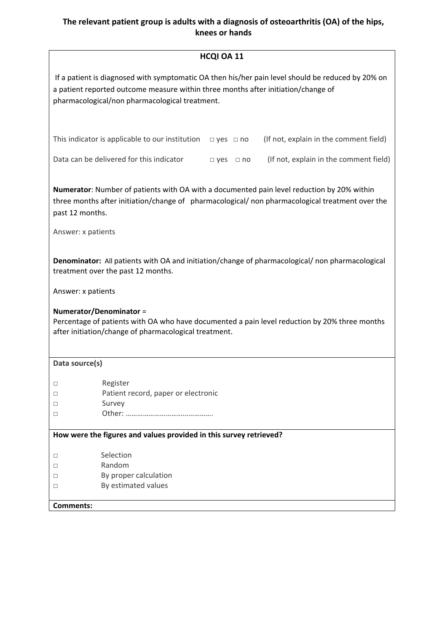## **HCQI OA 11**

| HCQI OA 11                                                                                                                                                                                                                               |
|------------------------------------------------------------------------------------------------------------------------------------------------------------------------------------------------------------------------------------------|
| If a patient is diagnosed with symptomatic OA then his/her pain level should be reduced by 20% on<br>a patient reported outcome measure within three months after initiation/change of<br>pharmacological/non pharmacological treatment. |
| (If not, explain in the comment field)<br>This indicator is applicable to our institution<br>$\Box$ yes $\Box$ no                                                                                                                        |
| Data can be delivered for this indicator<br>(If not, explain in the comment field)<br>$\Box$ yes $\Box$ no                                                                                                                               |
| Numerator: Number of patients with OA with a documented pain level reduction by 20% within<br>three months after initiation/change of pharmacological/ non pharmacological treatment over the<br>past 12 months.<br>Answer: x patients   |
| Denominator: All patients with OA and initiation/change of pharmacological/ non pharmacological<br>treatment over the past 12 months.                                                                                                    |
| Answer: x patients                                                                                                                                                                                                                       |
| Numerator/Denominator =<br>Percentage of patients with OA who have documented a pain level reduction by 20% three months<br>after initiation/change of pharmacological treatment.                                                        |

| Data source(s)                                                     |                                     |  |  |  |
|--------------------------------------------------------------------|-------------------------------------|--|--|--|
|                                                                    |                                     |  |  |  |
| $\Box$                                                             | Register                            |  |  |  |
| П                                                                  | Patient record, paper or electronic |  |  |  |
| $\Box$                                                             | Survey                              |  |  |  |
| П                                                                  |                                     |  |  |  |
|                                                                    |                                     |  |  |  |
| How were the figures and values provided in this survey retrieved? |                                     |  |  |  |
|                                                                    |                                     |  |  |  |
| $\Box$                                                             | Selection                           |  |  |  |
| $\Box$                                                             | Random                              |  |  |  |
| $\Box$                                                             | By proper calculation               |  |  |  |
| П                                                                  | By estimated values                 |  |  |  |
|                                                                    |                                     |  |  |  |
| Comments:                                                          |                                     |  |  |  |